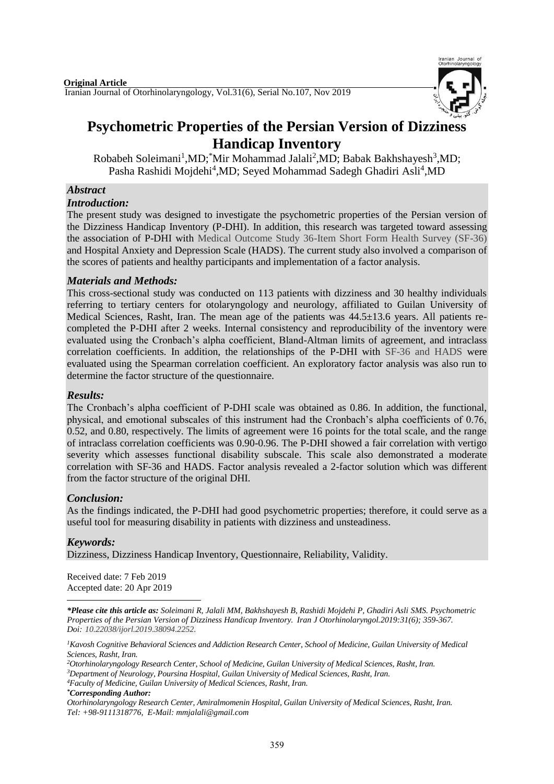

# **Psychometric Properties of the Persian Version of Dizziness Handicap Inventory**

Robabeh Soleimani<sup>1</sup>,MD;<sup>\*</sup>Mir Mohammad Jalali<sup>2</sup>,MD; Babak Bakhshayesh<sup>3</sup>,MD; Pasha Rashidi Mojdehi<sup>4</sup>,MD; Seyed Mohammad Sadegh Ghadiri Asli<sup>4</sup>,MD

# *Abstract*

### *Introduction:*

The present study was designed to investigate the psychometric properties of the Persian version of the Dizziness Handicap Inventory (P-DHI). In addition, this research was targeted toward assessing the association of P-DHI with Medical Outcome Study 36-Item Short Form Health Survey (SF-36) and Hospital Anxiety and Depression Scale (HADS). The current study also involved a comparison of the scores of patients and healthy participants and implementation of a factor analysis.

# *Materials and Methods:*

This cross-sectional study was conducted on 113 patients with dizziness and 30 healthy individuals referring to tertiary centers for otolaryngology and neurology, affiliated to Guilan University of Medical Sciences, Rasht, Iran. The mean age of the patients was 44.5±13.6 years. All patients recompleted the P-DHI after 2 weeks. Internal consistency and reproducibility of the inventory were evaluated using the Cronbach's alpha coefficient, Bland-Altman limits of agreement, and intraclass correlation coefficients. In addition, the relationships of the P-DHI with SF-36 and HADS were evaluated using the Spearman correlation coefficient. An exploratory factor analysis was also run to determine the factor structure of the questionnaire.

#### *Results:*

The Cronbach's alpha coefficient of P-DHI scale was obtained as 0.86. In addition, the functional, physical, and emotional subscales of this instrument had the Cronbach's alpha coefficients of 0.76, 0.52, and 0.80, respectively. The limits of agreement were 16 points for the total scale, and the range of intraclass correlation coefficients was 0.90-0.96. The P-DHI showed a fair correlation with vertigo severity which assesses functional disability subscale. This scale also demonstrated a moderate correlation with SF-36 and HADS. Factor analysis revealed a 2-factor solution which was different from the factor structure of the original DHI.

# *Conclusion:*

As the findings indicated, the P-DHI had good psychometric properties; therefore, it could serve as a useful tool for measuring disability in patients with dizziness and unsteadiness.

# *Keywords:*

Dizziness, Dizziness Handicap Inventory, Questionnaire, Reliability, Validity.

Received date: 7 Feb 2019 Accepted date: 20 Apr 2019

**.** *\*Please cite this article as: Soleimani R, Jalali MM, Bakhshayesh B, Rashidi Mojdehi P, Ghadiri Asli SMS. Psychometric Properties of the Persian Version of Dizziness Handicap Inventory. [Iran J Otorhinolaryngol.2](https://www.ncbi.nlm.nih.gov/pubmed/?term=Tri-layer+Tympanoplasty+as+a+New+Technique+in+High-risk+Tympanic+Membrane+Perforations)019:31(6); 359-367. Doi: 10.22038/ijorl.2019.38094.2252.*

*<sup>1</sup>Kavosh Cognitive Behavioral Sciences and Addiction Research Center, School of Medicine, Guilan University of Medical Sciences, Rasht, Iran.* 

*<sup>4</sup>Faculty of Medicine, Guilan University of Medical Sciences, Rasht, Iran.*

*\*Corresponding Author:* 

*<sup>2</sup>Otorhinolaryngology Research Center, School of Medicine, Guilan University of Medical Sciences, Rasht, Iran. <sup>3</sup>Department of Neurology, Poursina Hospital, Guilan University of Medical Sciences, Rasht, Iran.*

*Otorhinolaryngology Research Center, Amiralmomenin Hospital, Guilan University of Medical Sciences, Rasht, Iran. Tel: +98-9111318776, E-Mail[: mmjalali@gmail.com](mailto:mmjalali@gmail.com)*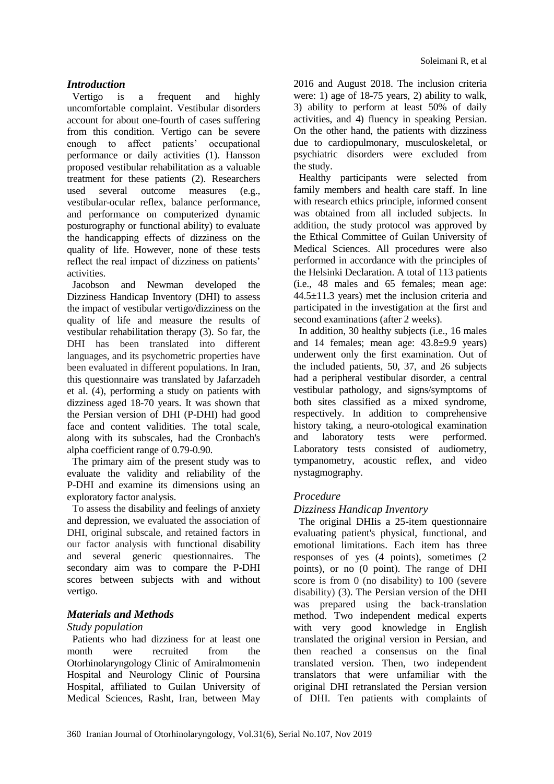# *Introduction*

Vertigo is a frequent and highly uncomfortable complaint. Vestibular disorders account for about one-fourth of cases suffering from this condition. Vertigo can be severe enough to affect patients' occupational performance or daily activities (1). Hansson proposed vestibular rehabilitation as a valuable treatment for these patients (2). Researchers used several outcome measures (e.g., vestibular-ocular reflex, balance performance, and performance on computerized dynamic posturography or functional ability) to evaluate the handicapping effects of dizziness on the quality of life. However, none of these tests reflect the real impact of dizziness on patients' activities.

Jacobson and Newman developed the Dizziness Handicap Inventory (DHI) to assess the impact of vestibular vertigo/dizziness on the quality of life and measure the results of vestibular rehabilitation therapy (3). So far, the DHI has been translated into different languages, and its psychometric properties have been evaluated in different populations. In Iran, this questionnaire was translated by Jafarzadeh et al. (4), performing a study on patients with dizziness aged 18-70 years. It was shown that the Persian version of DHI (P-DHI) had good face and content validities. The total scale, along with its subscales, had the Cronbach's alpha coefficient range of 0.79-0.90.

The primary aim of the present study was to evaluate the validity and reliability of the P-DHI and examine its dimensions using an exploratory factor analysis.

To assess the disability and feelings of anxiety and depression, we evaluated the association of DHI, original subscale, and retained factors in our factor analysis with functional disability and several generic questionnaires. The secondary aim was to compare the P-DHI scores between subjects with and without vertigo.

# *Materials and Methods*

# *Study population*

Patients who had dizziness for at least one month were recruited from the Otorhinolaryngology Clinic of Amiralmomenin Hospital and Neurology Clinic of Poursina Hospital, affiliated to Guilan University of Medical Sciences, Rasht, Iran, between May

2016 and August 2018. The inclusion criteria were: 1) age of 18-75 years, 2) ability to walk, 3) ability to perform at least 50% of daily activities, and 4) fluency in speaking Persian. On the other hand, the patients with dizziness due to cardiopulmonary, musculoskeletal, or psychiatric disorders were excluded from the study.

Healthy participants were selected from family members and health care staff. In line with research ethics principle, informed consent was obtained from all included subjects. In addition, the study protocol was approved by the Ethical Committee of Guilan University of Medical Sciences. All procedures were also performed in accordance with the principles of the Helsinki Declaration. A total of 113 patients (i.e., 48 males and 65 females; mean age: 44.5±11.3 years) met the inclusion criteria and participated in the investigation at the first and second examinations (after 2 weeks).

In addition, 30 healthy subjects (i.e., 16 males and 14 females; mean age: 43.8±9.9 years) underwent only the first examination. Out of the included patients, 50, 37, and 26 subjects had a peripheral vestibular disorder, a central vestibular pathology, and signs/symptoms of both sites classified as a mixed syndrome, respectively. In addition to comprehensive history taking, a neuro-otological examination and laboratory tests were performed. Laboratory tests consisted of audiometry, tympanometry, acoustic reflex, and video nystagmography.

# *Procedure*

# *Dizziness Handicap Inventory*

The original DHIis a 25-item questionnaire evaluating patient's physical, functional, and emotional limitations. Each item has three responses of yes (4 points), sometimes (2 points), or no (0 point). The range of DHI score is from 0 (no disability) to 100 (severe disability) (3). The Persian version of the DHI was prepared using the back-translation method. Two independent medical experts with very good knowledge in English translated the original version in Persian, and then reached a consensus on the final translated version. Then, two independent translators that were unfamiliar with the original DHI retranslated the Persian version of DHI. Ten patients with complaints of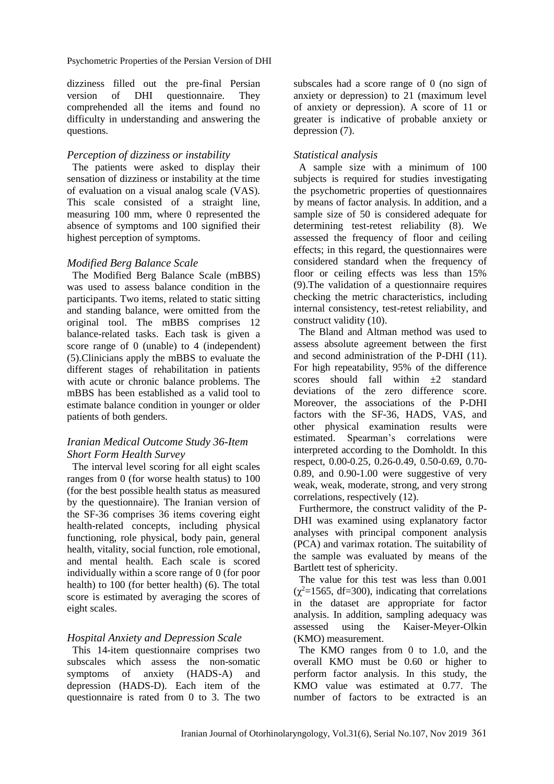Psychometric Properties of the Persian Version of DHI

dizziness filled out the pre-final Persian version of DHI questionnaire. They comprehended all the items and found no difficulty in understanding and answering the questions.

#### *Perception of dizziness or instability*

The patients were asked to display their sensation of dizziness or instability at the time of evaluation on a visual analog scale (VAS). This scale consisted of a straight line, measuring 100 mm, where 0 represented the absence of symptoms and 100 signified their highest perception of symptoms.

### *Modified Berg Balance Scale*

The Modified Berg Balance Scale (mBBS) was used to assess balance condition in the participants. Two items, related to static sitting and standing balance, were omitted from the original tool. The mBBS comprises 12 balance-related tasks. Each task is given a score range of 0 (unable) to 4 (independent) (5).Clinicians apply the mBBS to evaluate the different stages of rehabilitation in patients with acute or chronic balance problems. The mBBS has been established as a valid tool to estimate balance condition in younger or older patients of both genders.

# *Iranian Medical Outcome Study 36-Item Short Form Health Survey*

The interval level scoring for all eight scales ranges from 0 (for worse health status) to 100 (for the best possible health status as measured by the questionnaire). The Iranian version of the SF-36 comprises 36 items covering eight health-related concepts, including physical functioning, role physical, body pain, general health, vitality, social function, role emotional, and mental health. Each scale is scored individually within a score range of 0 (for poor health) to 100 (for better health) (6). The total score is estimated by averaging the scores of eight scales.

# *Hospital Anxiety and Depression Scale*

This 14-item questionnaire comprises two subscales which assess the non-somatic symptoms of anxiety (HADS-A) and depression (HADS-D). Each item of the questionnaire is rated from 0 to 3. The two subscales had a score range of 0 (no sign of anxiety or depression) to 21 (maximum level of anxiety or depression). A score of 11 or greater is indicative of probable anxiety or depression (7).

### *Statistical analysis*

A sample size with a minimum of 100 subjects is required for studies investigating the psychometric properties of questionnaires by means of factor analysis. In addition, and a sample size of 50 is considered adequate for determining test-retest reliability (8). We assessed the frequency of floor and ceiling effects; in this regard, the questionnaires were considered standard when the frequency of floor or ceiling effects was less than 15% (9).The validation of a questionnaire requires checking the metric characteristics, including internal consistency, test-retest reliability, and construct validity (10).

The Bland and Altman method was used to assess absolute agreement between the first and second administration of the P-DHI (11). For high repeatability, 95% of the difference scores should fall within  $\pm 2$  standard deviations of the zero difference score. Moreover, the associations of the P-DHI factors with the SF-36, HADS, VAS, and other physical examination results were estimated. Spearman's correlations were interpreted according to the Domholdt. In this respect, 0.00-0.25, 0.26-0.49, 0.50-0.69, 0.70- 0.89, and 0.90-1.00 were suggestive of very weak, weak, moderate, strong, and very strong correlations, respectively (12).

Furthermore, the construct validity of the P-DHI was examined using explanatory factor analyses with principal component analysis (PCA) and varimax rotation. The suitability of the sample was evaluated by means of the Bartlett test of sphericity.

The value for this test was less than 0.001  $(\chi^2 = 1565, df = 300)$ , indicating that correlations in the dataset are appropriate for factor analysis. In addition, sampling adequacy was assessed using the Kaiser-Meyer-Olkin (KMO) measurement.

The KMO ranges from 0 to 1.0, and the overall KMO must be 0.60 or higher to perform factor analysis. In this study, the KMO value was estimated at 0.77. The number of factors to be extracted is an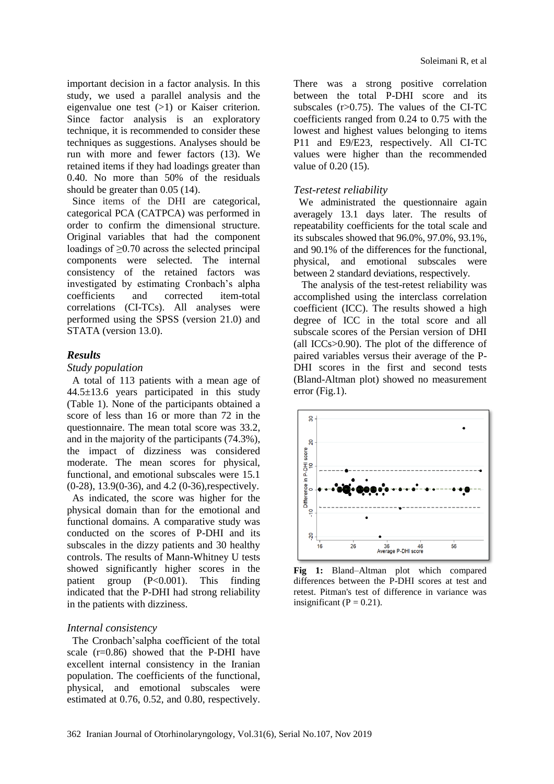important decision in a factor analysis. In this study, we used a parallel analysis and the eigenvalue one test (>1) or Kaiser criterion. Since factor analysis is an exploratory technique, it is recommended to consider these techniques as suggestions. Analyses should be run with more and fewer factors (13). We retained items if they had loadings greater than 0.40. No more than 50% of the residuals should be greater than 0.05 (14).

Since items of the DHI are categorical, categorical PCA (CATPCA) was performed in order to confirm the dimensional structure. Original variables that had the component loadings of ≥0.70 across the selected principal components were selected. The internal consistency of the retained factors was investigated by estimating Cronbach's alpha coefficients and corrected item-total correlations (CI-TCs). All analyses were performed using the SPSS (version 21.0) and STATA (version 13.0).

#### *Results*

#### *Study population*

A total of 113 patients with a mean age of 44.5±13.6 years participated in this study (Table 1). None of the participants obtained a score of less than 16 or more than 72 in the questionnaire. The mean total score was 33.2, and in the majority of the participants (74.3%), the impact of dizziness was considered moderate. The mean scores for physical, functional, and emotional subscales were 15.1 (0-28), 13.9(0-36), and 4.2 (0-36),respectively. As indicated, the score was higher for the physical domain than for the emotional and functional domains. A comparative study was conducted on the scores of P-DHI and its subscales in the dizzy patients and 30 healthy controls. The results of Mann-Whitney U tests showed significantly higher scores in the patient group (P<0.001). This finding indicated that the P-DHI had strong reliability in the patients with dizziness.

#### *Internal consistency*

The Cronbach'salpha coefficient of the total scale (r=0.86) showed that the P-DHI have excellent internal consistency in the Iranian population. The coefficients of the functional, physical, and emotional subscales were estimated at 0.76, 0.52, and 0.80, respectively.

There was a strong positive correlation between the total P-DHI score and its subscales  $(r>0.75)$ . The values of the CI-TC coefficients ranged from 0.24 to 0.75 with the lowest and highest values belonging to items P11 and E9/E23, respectively. All CI-TC values were higher than the recommended value of 0.20 (15).

#### *Test-retest reliability*

We administrated the questionnaire again averagely 13.1 days later. The results of repeatability coefficients for the total scale and its subscales showed that 96.0%, 97.0%, 93.1%, and 90.1% of the differences for the functional, physical, and emotional subscales were between 2 standard deviations, respectively.

The analysis of the test-retest reliability was accomplished using the interclass correlation coefficient (ICC). The results showed a high degree of ICC in the total score and all subscale scores of the Persian version of DHI (all ICCs>0.90). The plot of the difference of paired variables versus their average of the P-DHI scores in the first and second tests (Bland-Altman plot) showed no measurement error (Fig.1).



**Fig 1:** Bland–Altman plot which compared differences between the P-DHI scores at test and retest. Pitman's test of difference in variance was insignificant ( $P = 0.21$ ).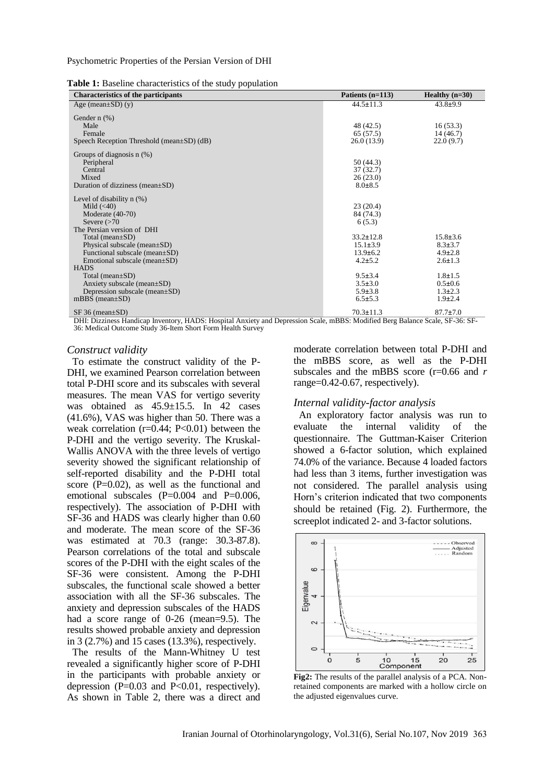Psychometric Properties of the Persian Version of DHI

**Table 1:** Baseline characteristics of the study population

| <b>Characteristics of the participants</b>                                                                                                                 | Patients $(n=113)$                                                   | Healthy $(n=30)$                                                  |
|------------------------------------------------------------------------------------------------------------------------------------------------------------|----------------------------------------------------------------------|-------------------------------------------------------------------|
| Age (mean $\pm SD$ ) (y)                                                                                                                                   | $44.5 \pm 11.3$                                                      | $43.8+9.9$                                                        |
| Gender $n$ $(\%)$<br>Male<br>Female<br>Speech Reception Threshold (mean±SD) (dB)                                                                           | 48 (42.5)<br>65 (57.5)<br>26.0(13.9)                                 | 16(53.3)<br>14(46.7)<br>22.0(9.7)                                 |
| Groups of diagnosis $n$ (%)<br>Peripheral<br>Central<br>Mixed<br>Duration of dizziness (mean $\pm SD$ )                                                    | 50(44.3)<br>37(32.7)<br>26(23.0)<br>$8.0 \pm 8.5$                    |                                                                   |
| Level of disability $n$ $(\%)$<br>Mild $(40)$<br>Moderate $(40-70)$<br>Severe $(>70$<br>The Persian version of DHI                                         | 23(20.4)<br>84 (74.3)<br>6(5.3)                                      |                                                                   |
| Total (mean $\pm SD$ )<br>Physical subscale (mean $\pm SD$ )<br>Functional subscale (mean $\pm SD$ )<br>Emotional subscale (mean $\pm SD$ )<br><b>HADS</b> | $33.2 \pm 12.8$<br>$15.1 \pm 3.9$<br>$13.9 \pm 6.2$<br>$4.2 \pm 5.2$ | $15.8 \pm 3.6$<br>$8.3 \pm 3.7$<br>$4.9 \pm 2.8$<br>$2.6 \pm 1.3$ |
| Total (mean $\pm SD$ )<br>Anxiety subscale (mean $\pm SD$ )<br>Depression subscale (mean±SD)<br>mBBS (mean $\pm$ SD)                                       | $9.5 \pm 3.4$<br>$3.5 \pm 3.0$<br>$5.9 \pm 3.8$<br>$6.5 \pm 5.3$     | $1.8 \pm 1.5$<br>$0.5 \pm 0.6$<br>$1.3 \pm 2.3$<br>$1.9 \pm 2.4$  |
| $SF 36 (mean \pm SD)$                                                                                                                                      | $70.3 \pm 11.3$                                                      | $87.7 \pm 7.0$                                                    |

DHI: Dizziness Handicap Inventory, HADS: Hospital Anxiety and Depression Scale, mBBS: Modified Berg Balance Scale, SF-36: SF-36: Medical Outcome Study 36-Item Short Form Health Survey

#### *Construct validity*

To estimate the construct validity of the P-DHI, we examined Pearson correlation between total P-DHI score and its subscales with several measures. The mean VAS for vertigo severity was obtained as  $45.9 \pm 15.5$ . In 42 cases (41.6%), VAS was higher than 50. There was a weak correlation  $(r=0.44; P<0.01)$  between the P-DHI and the vertigo severity. The Kruskal-Wallis ANOVA with the three levels of vertigo severity showed the significant relationship of self-reported disability and the P-DHI total score  $(P=0.02)$ , as well as the functional and emotional subscales  $(P=0.004$  and  $P=0.006$ , respectively). The association of P-DHI with SF-36 and HADS was clearly higher than 0.60 and moderate. The mean score of the SF-36 was estimated at 70.3 (range: 30.3-87.8). Pearson correlations of the total and subscale scores of the P-DHI with the eight scales of the SF-36 were consistent. Among the P-DHI subscales, the functional scale showed a better association with all the SF-36 subscales. The anxiety and depression subscales of the HADS had a score range of 0-26 (mean=9.5). The results showed probable anxiety and depression in 3 (2.7%) and 15 cases (13.3%), respectively.

The results of the Mann-Whitney U test revealed a significantly higher score of P-DHI in the participants with probable anxiety or depression  $(P=0.03$  and  $P<0.01$ , respectively). As shown in Table 2, there was a direct and

moderate correlation between total P-DHI and the mBBS score, as well as the P-DHI subscales and the mBBS score (r=0.66 and *r* range=0.42-0.67, respectively).

#### *Internal validity-factor analysis*

An exploratory factor analysis was run to evaluate the internal validity of the questionnaire. The Guttman-Kaiser Criterion showed a 6-factor solution, which explained 74.0% of the variance. Because 4 loaded factors had less than 3 items, further investigation was not considered. The parallel analysis using Horn's criterion indicated that two components should be retained (Fig. 2). Furthermore, the screeplot indicated 2- and 3-factor solutions.



**Fig2:** The results of the parallel analysis of a PCA. Nonretained components are marked with a hollow circle on the adjusted eigenvalues curve.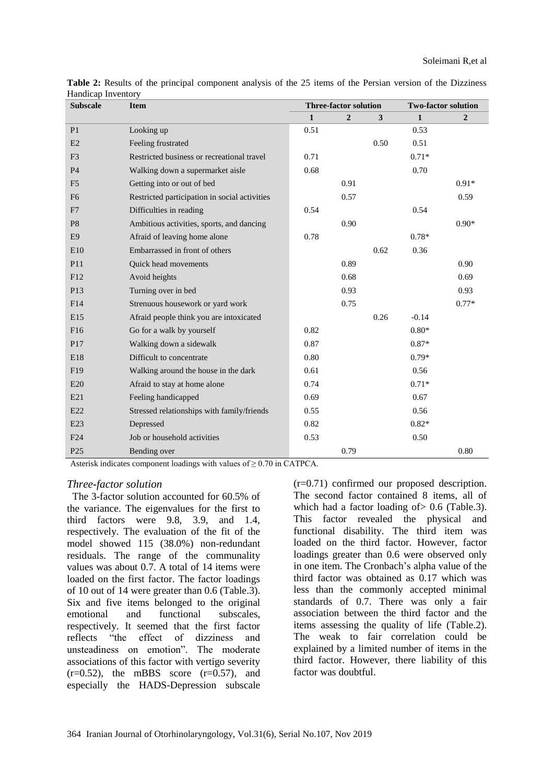| <b>Subscale</b> | <b>Item</b>                                   | <b>Three-factor solution</b> |                | <b>Two-factor solution</b> |              |                |
|-----------------|-----------------------------------------------|------------------------------|----------------|----------------------------|--------------|----------------|
|                 |                                               | $\mathbf{1}$                 | $\overline{2}$ | 3                          | $\mathbf{1}$ | $\overline{2}$ |
| P <sub>1</sub>  | Looking up                                    | 0.51                         |                |                            | 0.53         |                |
| E2              | Feeling frustrated                            |                              |                | 0.50                       | 0.51         |                |
| F <sub>3</sub>  | Restricted business or recreational travel    | 0.71                         |                |                            | $0.71*$      |                |
| P <sub>4</sub>  | Walking down a supermarket aisle              | 0.68                         |                |                            | 0.70         |                |
| F <sub>5</sub>  | Getting into or out of bed                    |                              | 0.91           |                            |              | $0.91*$        |
| F <sub>6</sub>  | Restricted participation in social activities |                              | 0.57           |                            |              | 0.59           |
| F7              | Difficulties in reading                       | 0.54                         |                |                            | 0.54         |                |
| P <sub>8</sub>  | Ambitious activities, sports, and dancing     |                              | 0.90           |                            |              | $0.90*$        |
| E <sub>9</sub>  | Afraid of leaving home alone                  | 0.78                         |                |                            | $0.78*$      |                |
| E10             | Embarrassed in front of others                |                              |                | 0.62                       | 0.36         |                |
| P <sub>11</sub> | Quick head movements                          |                              | 0.89           |                            |              | 0.90           |
| F12             | Avoid heights                                 |                              | 0.68           |                            |              | 0.69           |
| P13             | Turning over in bed                           |                              | 0.93           |                            |              | 0.93           |
| F14             | Strenuous housework or yard work              |                              | 0.75           |                            |              | $0.77*$        |
| E15             | Afraid people think you are intoxicated       |                              |                | 0.26                       | $-0.14$      |                |
| F <sub>16</sub> | Go for a walk by yourself                     | 0.82                         |                |                            | $0.80*$      |                |
| P17             | Walking down a sidewalk                       | 0.87                         |                |                            | $0.87*$      |                |
| E18             | Difficult to concentrate                      | 0.80                         |                |                            | $0.79*$      |                |
| F <sub>19</sub> | Walking around the house in the dark          | 0.61                         |                |                            | 0.56         |                |
| E20             | Afraid to stay at home alone                  | 0.74                         |                |                            | $0.71*$      |                |
| E21             | Feeling handicapped                           | 0.69                         |                |                            | 0.67         |                |
| E22             | Stressed relationships with family/friends    | 0.55                         |                |                            | 0.56         |                |
| E23             | Depressed                                     | 0.82                         |                |                            | $0.82*$      |                |
| F24             | Job or household activities                   | 0.53                         |                |                            | 0.50         |                |
| P <sub>25</sub> | Bending over                                  |                              | 0.79           |                            |              | 0.80           |

**Table 2:** Results of the principal component analysis of the 25 items of the Persian version of the Dizziness Handicap Inventory

Asterisk indicates component loadings with values of  $\geq 0.70$  in CATPCA.

#### *Three-factor solution*

The 3-factor solution accounted for 60.5% of the variance. The eigenvalues for the first to third factors were 9.8, 3.9, and 1.4, respectively. The evaluation of the fit of the model showed 115 (38.0%) non-redundant residuals. The range of the communality values was about 0.7. A total of 14 items were loaded on the first factor. The factor loadings of 10 out of 14 were greater than 0.6 (Table.3). Six and five items belonged to the original emotional and functional subscales, respectively. It seemed that the first factor reflects "the effect of dizziness and unsteadiness on emotion". The moderate associations of this factor with vertigo severity  $(r=0.52)$ , the mBBS score  $(r=0.57)$ , and especially the HADS-Depression subscale

(r=0.71) confirmed our proposed description. The second factor contained 8 items, all of which had a factor loading of  $> 0.6$  (Table.3). This factor revealed the physical and functional disability. The third item was loaded on the third factor. However, factor loadings greater than 0.6 were observed only in one item. The Cronbach's alpha value of the third factor was obtained as 0.17 which was less than the commonly accepted minimal standards of 0.7. There was only a fair association between the third factor and the items assessing the quality of life (Table.2). The weak to fair correlation could be explained by a limited number of items in the third factor. However, there liability of this factor was doubtful.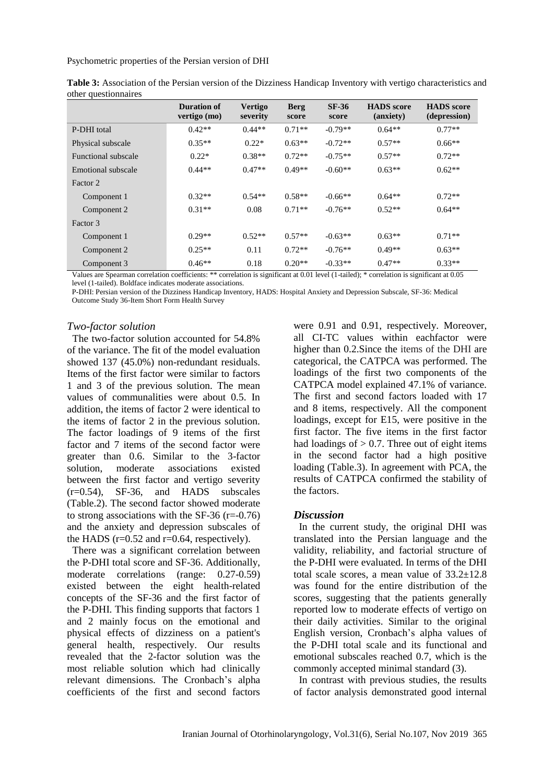Psychometric properties of the Persian version of DHI

|                     | <b>Duration of</b><br>vertigo (mo) | <b>Vertigo</b><br>severity | <b>Berg</b><br>score | SF-36<br>score | <b>HADS</b> score<br>(anxiety) | <b>HADS</b> score<br>(depression) |
|---------------------|------------------------------------|----------------------------|----------------------|----------------|--------------------------------|-----------------------------------|
| P-DHI total         | $0.42**$                           | $0.44**$                   | $0.71**$             | $-0.79**$      | $0.64**$                       | $0.77**$                          |
| Physical subscale   | $0.35**$                           | $0.22*$                    | $0.63**$             | $-0.72**$      | $0.57**$                       | $0.66**$                          |
| Functional subscale | $0.22*$                            | $0.38**$                   | $0.72**$             | $-0.75**$      | $0.57**$                       | $0.72**$                          |
| Emotional subscale  | $0.44**$                           | $0.47**$                   | $0.49**$             | $-0.60**$      | $0.63**$                       | $0.62**$                          |
| Factor 2            |                                    |                            |                      |                |                                |                                   |
| Component 1         | $0.32**$                           | $0.54**$                   | $0.58**$             | $-0.66**$      | $0.64**$                       | $0.72**$                          |
| Component 2         | $0.31**$                           | 0.08                       | $0.71**$             | $-0.76**$      | $0.52**$                       | $0.64**$                          |
| Factor 3            |                                    |                            |                      |                |                                |                                   |
| Component 1         | $0.29**$                           | $0.52**$                   | $0.57**$             | $-0.63**$      | $0.63**$                       | $0.71**$                          |
| Component 2         | $0.25**$                           | 0.11                       | $0.72**$             | $-0.76**$      | $0.49**$                       | $0.63**$                          |
| Component 3         | $0.46**$                           | 0.18                       | $0.20**$             | $-0.33**$      | $0.47**$                       | $0.33**$                          |

| Table 3: Association of the Persian version of the Dizziness Handicap Inventory with vertigo characteristics and |  |  |  |
|------------------------------------------------------------------------------------------------------------------|--|--|--|
| other questionnaires                                                                                             |  |  |  |

Values are Spearman correlation coefficients: \*\* correlation is significant at 0.01 level (1-tailed); \* correlation is significant at 0.05 level (1-tailed). Boldface indicates moderate associations.

P-DHI: Persian version of the Dizziness Handicap Inventory, HADS: Hospital Anxiety and Depression Subscale, SF-36: Medical Outcome Study 36-Item Short Form Health Survey

#### *Two-factor solution*

The two-factor solution accounted for 54.8% of the variance. The fit of the model evaluation showed 137 (45.0%) non-redundant residuals. Items of the first factor were similar to factors 1 and 3 of the previous solution. The mean values of communalities were about 0.5. In addition, the items of factor 2 were identical to the items of factor 2 in the previous solution. The factor loadings of 9 items of the first factor and 7 items of the second factor were greater than 0.6. Similar to the 3-factor solution, moderate associations existed between the first factor and vertigo severity  $(r=0.54)$ , SF-36, and HADS subscales (Table.2). The second factor showed moderate to strong associations with the SF-36  $(r=-0.76)$ and the anxiety and depression subscales of the HADS ( $r=0.52$  and  $r=0.64$ , respectively).

There was a significant correlation between the P-DHI total score and SF-36. Additionally, moderate correlations (range: 0.27-0.59) existed between the eight health-related concepts of the SF-36 and the first factor of the P-DHI. This finding supports that factors 1 and 2 mainly focus on the emotional and physical effects of dizziness on a patient's general health, respectively. Our results revealed that the 2-factor solution was the most reliable solution which had clinically relevant dimensions. The Cronbach's alpha coefficients of the first and second factors

were 0.91 and 0.91, respectively. Moreover, all CI-TC values within eachfactor were higher than 0.2.Since the items of the DHI are categorical, the CATPCA was performed. The loadings of the first two components of the CATPCA model explained 47.1% of variance. The first and second factors loaded with 17 and 8 items, respectively. All the component loadings, except for E15, were positive in the first factor. The five items in the first factor had loadings of  $> 0.7$ . Three out of eight items in the second factor had a high positive loading (Table.3). In agreement with PCA, the results of CATPCA confirmed the stability of the factors.

# *Discussion*

In the current study, the original DHI was translated into the Persian language and the validity, reliability, and factorial structure of the P-DHI were evaluated. In terms of the DHI total scale scores, a mean value of  $33.2 \pm 12.8$ was found for the entire distribution of the scores, suggesting that the patients generally reported low to moderate effects of vertigo on their daily activities. Similar to the original English version, Cronbach's alpha values of the P-DHI total scale and its functional and emotional subscales reached 0.7, which is the commonly accepted minimal standard (3).

In contrast with previous studies, the results of factor analysis demonstrated good internal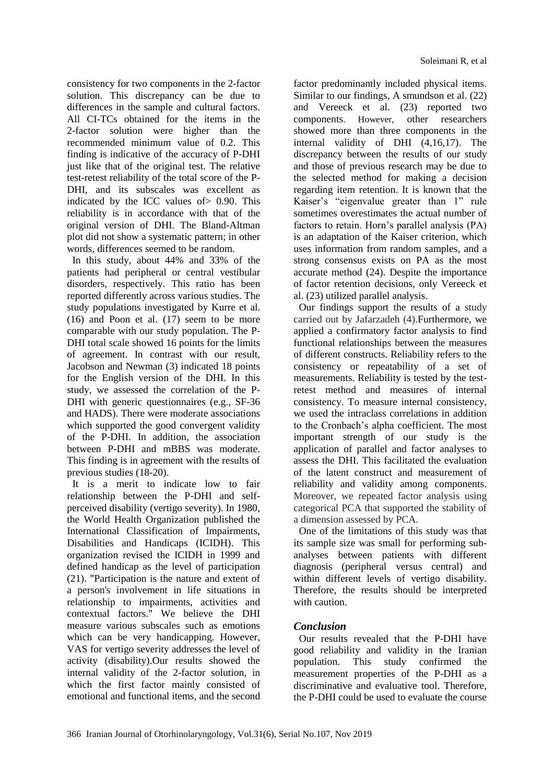consistency for two components in the 2-factor solution. This discrepancy can be due to differences in the sample and cultural factors. All CI-TCs obtained for the items in the 2-factor solution were higher than the recommended minimum value of 0.2. This finding is indicative of the accuracy of P-DHI just like that of the original test. The relative test-retest reliability of the total score of the P-DHI, and its subscales was excellent as indicated by the ICC values of> 0.90. This reliability is in accordance with that of the original version of DHI. The Bland-Altman plot did not show a systematic pattern; in other words, differences seemed to be random.

In this study, about 44% and 33% of the patients had peripheral or central vestibular disorders, respectively. This ratio has been reported differently across various studies. The study populations investigated by Kurre et al. (16) and Poon et al. (17) seem to be more comparable with our study population. The P-DHI total scale showed 16 points for the limits of agreement. In contrast with our result, Jacobson and Newman (3) indicated 18 points for the English version of the DHI. In this study, we assessed the correlation of the P-DHI with generic questionnaires (e.g., SF-36 and HADS). There were moderate associations which supported the good convergent validity of the P-DHI. In addition, the association between P-DHI and mBBS was moderate. This finding is in agreement with the results of previous studies (18-20).

It is a merit to indicate low to fair relationship between the P-DHI and selfperceived disability (vertigo severity). In 1980, the World Health Organization published the International Classification of Impairments, Disabilities and Handicaps (ICIDH). This organization revised the ICIDH in 1999 and defined handicap as the level of participation (21). "Participation is the nature and extent of a person's involvement in life situations in relationship to impairments, activities and contextual factors." We believe the DHI measure various subscales such as emotions which can be very handicapping. However, VAS for vertigo severity addresses the level of activity (disability).Our results showed the internal validity of the 2-factor solution, in which the first factor mainly consisted of emotional and functional items, and the second factor predominantly included physical items. Similar to our findings, A smundson et al. (22) and Vereeck et al. (23) reported two components. However, other researchers showed more than three components in the internal validity of DHI (4,16,17). The discrepancy between the results of our study and those of previous research may be due to the selected method for making a decision regarding item retention. It is known that the Kaiser's "eigenvalue greater than 1" rule sometimes overestimates the actual number of factors to retain. Horn's parallel analysis (PA) is an adaptation of the Kaiser criterion, which uses information from random samples, and a strong consensus exists on PA as the most accurate method (24). Despite the importance of factor retention decisions, only Vereeck et al. (23) utilized parallel analysis.

Our findings support the results of a study carried out by Jafarzadeh (4).Furthermore, we applied a confirmatory factor analysis to find functional relationships between the measures of different constructs. Reliability refers to the consistency or repeatability of a set of measurements. Reliability is tested by the testretest method and measures of internal consistency. To measure internal consistency, we used the intraclass correlations in addition to the Cronbach's alpha coefficient. The most important strength of our study is the application of parallel and factor analyses to assess the DHI. This facilitated the evaluation of the latent construct and measurement of reliability and validity among components. Moreover, we repeated factor analysis using categorical PCA that supported the stability of a dimension assessed by PCA.

One of the limitations of this study was that its sample size was small for performing subanalyses between patients with different diagnosis (peripheral versus central) and within different levels of vertigo disability. Therefore, the results should be interpreted with caution.

# *Conclusion*

Our results revealed that the P-DHI have good reliability and validity in the Iranian population. This study confirmed the measurement properties of the P-DHI as a discriminative and evaluative tool. Therefore, the P-DHI could be used to evaluate the course